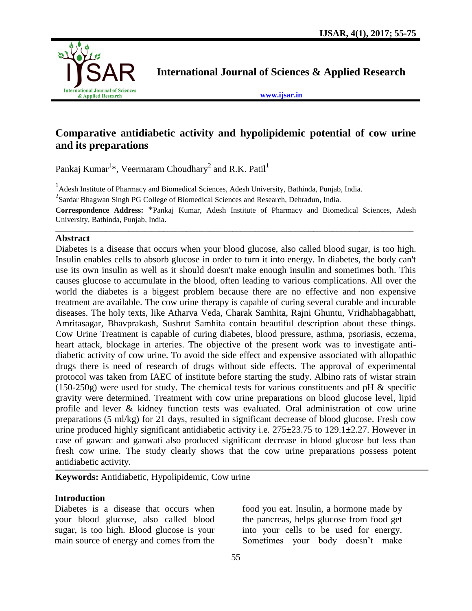

**International Journal of Sciences & Applied Research**

**[www.ijsar.in](http://www.ijsar.in/)**

# **Comparative antidiabetic activity and hypolipidemic potential of cow urine and its preparations**

Pankaj Kumar<sup>1\*</sup>, Veermaram Choudhary<sup>2</sup> and R.K. Patil<sup>1</sup>

<sup>1</sup> Adesh Institute of Pharmacy and Biomedical Sciences, Adesh University, Bathinda, Punjab, India.

 $2$ Sardar Bhagwan Singh PG College of Biomedical Sciences and Research, Dehradun, India.

**Correspondence Address:** \*Pankaj Kumar, Adesh Institute of Pharmacy and Biomedical Sciences, Adesh University, Bathinda, Punjab, India. \_\_\_\_\_\_\_\_\_\_\_\_\_\_\_\_\_\_\_\_\_\_\_\_\_\_\_\_\_\_\_\_\_\_\_\_\_\_\_\_\_\_\_\_\_\_\_\_\_\_\_\_\_\_\_\_\_\_\_\_\_\_\_\_\_\_\_\_\_\_\_\_\_\_\_\_\_\_\_\_\_\_\_\_\_\_\_\_\_\_\_\_\_

### **Abstract**

Diabetes is a disease that occurs when your blood glucose, also called blood sugar, is too high. Insulin enables cells to absorb glucose in order to turn it into energy. In diabetes, the body can't use its own insulin as well as it should doesn't make enough insulin and sometimes both. This causes glucose to accumulate in the blood, often leading to various complications. All over the world the diabetes is a biggest problem because there are no effective and non expensive treatment are available. The cow urine therapy is capable of curing several curable and incurable diseases. The holy texts, like Atharva Veda, Charak Samhita, Rajni Ghuntu, Vridhabhagabhatt, Amritasagar, Bhavprakash, Sushrut Samhita contain beautiful description about these things. Cow Urine Treatment is capable of curing diabetes, blood pressure, asthma, psoriasis, eczema, heart attack, blockage in arteries. The objective of the present work was to investigate antidiabetic activity of cow urine. To avoid the side effect and expensive associated with allopathic drugs there is need of research of drugs without side effects. The approval of experimental protocol was taken from IAEC of institute before starting the study. Albino rats of wistar strain  $(150-250g)$  were used for study. The chemical tests for various constituents and pH & specific gravity were determined. Treatment with cow urine preparations on blood glucose level, lipid profile and lever & kidney function tests was evaluated. Oral administration of cow urine preparations (5 ml/kg) for 21 days, resulted in significant decrease of blood glucose. Fresh cow urine produced highly significant antidiabetic activity i.e. 275±23.75 to 129.1±2.27. However in case of gawarc and ganwati also produced significant decrease in blood glucose but less than fresh cow urine. The study clearly shows that the cow urine preparations possess potent antidiabetic activity.

**Keywords:** Antidiabetic, Hypolipidemic, Cow urine

### **Introduction**

Diabetes is a disease that occurs when your blood glucose, also called blood sugar, is too high. Blood glucose is your main source of energy and comes from the food you eat. Insulin, a hormone made by the pancreas, helps glucose from food get into your cells to be used for energy. Sometimes your body doesn't make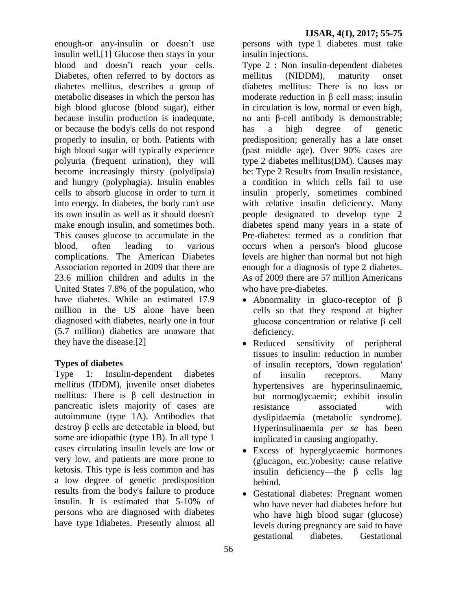enough-or any-insulin or doesn't use insulin well.[1] Glucose then stays in your blood and doesn't reach your cells. Diabetes, often referred to by doctors as diabetes mellitus, describes a group of metabolic diseases in which the person has high blood glucose (blood sugar), either because insulin production is inadequate, or because the body's cells do not respond properly to insulin, or both. Patients with high blood sugar will typically experience polyuria (frequent urination), they will become increasingly thirsty (polydipsia) and hungry (polyphagia). Insulin enables cells to absorb glucose in order to turn it into energy. In diabetes, the body can't use its own insulin as well as it should doesn't make enough insulin, and sometimes both. This causes glucose to accumulate in the blood, often leading to various complications. The American Diabetes Association reported in 2009 that there are 23.6 million children and adults in the United States 7.8% of the population, who have diabetes. While an estimated 17.9 million in the US alone have been diagnosed with diabetes, nearly one in four (5.7 million) diabetics are unaware that they have the disease.[2]

### **Types of diabetes**

Type 1: Insulin-dependent diabetes mellitus (IDDM), juvenile onset diabetes mellitus: There is β cell destruction in pancreatic islets majority of cases are autoimmune (type 1A). Antibodies that destroy β cells are detectable in blood, but some are idiopathic (type 1B). In all type 1 cases circulating insulin levels are low or very low, and patients are more prone to ketosis. This type is less common and has a low degree of genetic predisposition results from the body's failure to produce insulin. It is estimated that 5-10% of persons who are diagnosed with diabetes have type 1diabetes. Presently almost all

persons with type 1 diabetes must take insulin injections.

Type 2 : Non insulin-dependent diabetes mellitus (NIDDM), maturity onset diabetes mellitus: There is no loss or moderate reduction in β cell mass; insulin in circulation is low, normal or even high, no anti β-cell antibody is demonstrable; has a high degree of genetic predisposition; generally has a late onset (past middle age). Over 90% cases are type 2 diabetes mellitus(DM). Causes may be: Type 2 Results from Insulin resistance, a condition in which cells fail to use insulin properly, sometimes combined with relative insulin deficiency. Many people designated to develop type 2 diabetes spend many years in a state of Pre-diabetes: termed as a condition that occurs when a person's blood glucose levels are higher than normal but not high enough for a diagnosis of type 2 diabetes. As of 2009 there are 57 million Americans who have pre-diabetes.

- Abnormality in gluco-receptor of  $\beta$ cells so that they respond at higher glucose concentration or relative β cell deficiency.
- Reduced sensitivity of peripheral tissues to insulin: reduction in number of insulin receptors, 'down regulation' of insulin receptors. Many hypertensives are hyperinsulinaemic, but normoglycaemic; exhibit insulin resistance associated with dyslipidaemia (metabolic syndrome). Hyperinsulinaemia *per se* has been implicated in causing angiopathy.
- Excess of hyperglycaemic hormones (glucagon, etc.)/obesity: cause relative insulin deficiency—the β cells lag behind.
- Gestational diabetes: Pregnant women who have never had diabetes before but who have high blood sugar (glucose) levels during pregnancy are said to have gestational diabetes. Gestational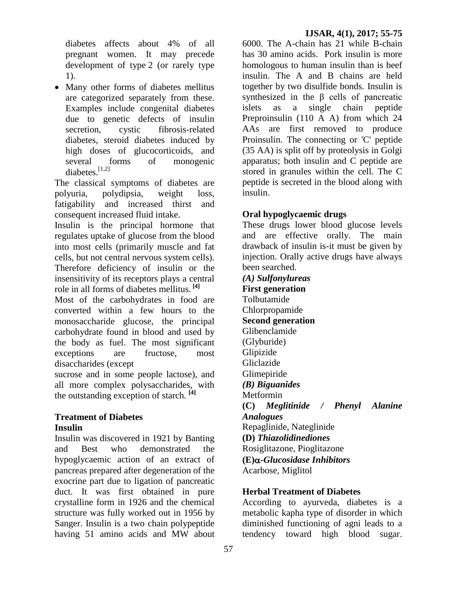diabetes affects about 4% of all pregnant women. It may precede development of type 2 (or rarely type 1).

• Many other forms of diabetes mellitus are categorized separately from these. Examples include congenital diabetes due to genetic defects of insulin secretion, cystic fibrosis-related diabetes, steroid diabetes induced by high doses of glucocorticoids, and several forms of monogenic diabetes.<sup>[1,2]</sup>

The classical symptoms of diabetes are [polyuria,](http://en.wikipedia.org/wiki/Polyuria) [polydipsia,](http://en.wikipedia.org/wiki/Polydipsia) weight loss, fatigability and increased thirst and consequent increased fluid intake.

Insulin is the principal hormone that regulates uptake of glucose from the blood into most cells (primarily muscle and fat cells, but not central nervous system cells). Therefore deficiency of insulin or the insensitivity of its receptors plays a central role in all forms of diabetes mellitus. **[4]**

Most of the carbohydrates in food are converted within a few hours to the monosaccharide glucose, the principal carbohydrate found in blood and used by the body as fuel. The most significant exceptions are fructose, most disaccharides (except

sucrose and in some people lactose), and all more complex polysaccharides, with the outstanding exception of starch. **[4]**

### **Treatment of Diabetes Insulin**

Insulin was discovered in 1921 by Banting and Best who demonstrated the hypoglycaemic action of an extract of pancreas prepared after degeneration of the exocrine part due to ligation of pancreatic duct. It was first obtained in pure crystalline form in 1926 and the chemical structure was fully worked out in 1956 by Sanger. Insulin is a two chain polypeptide having 51 amino acids and MW about

6000. The A-chain has 21 while B-chain has 30 amino acids. Pork insulin is more homologous to human insulin than is beef insulin. The A and B chains are held together by two disulfide bonds. Insulin is synthesized in the β cells of pancreatic islets as a single chain peptide Preproinsulin (110 A A) from which 24 AAs are first removed to produce Proinsulin. The connecting or 'C' peptide (35 AA) is split off by proteolysis in Golgi apparatus; both insulin and C peptide are stored in granules within the cell. The C peptide is secreted in the blood along with insulin.

# **Oral hypoglycaemic drugs**

These drugs lower blood glucose levels and are effective orally. The main drawback of insulin is-it must be given by injection. Orally active drugs have always been searched.

*(A) Sulfonylureas* **First generation**  Tolbutamide Chlorpropamide **Second generation** Glibenclamide (Glyburide) Glipizide Gliclazide Glimepiride *(B) Biguanides* Metformin **(C)** *Meglitinide / Phenyl Alanine Analogues* Repaglinide, Nateglinide **(D)** *Thiazolidinediones* Rosiglitazone, Pioglitazone **(E)-***Glucosidase Inhibitors* Acarbose, Miglitol

### **Herbal Treatment of Diabetes**

According to ayurveda, diabetes is a metabolic kapha type of disorder in which diminished functioning of agni leads to a tendency toward high blood sugar.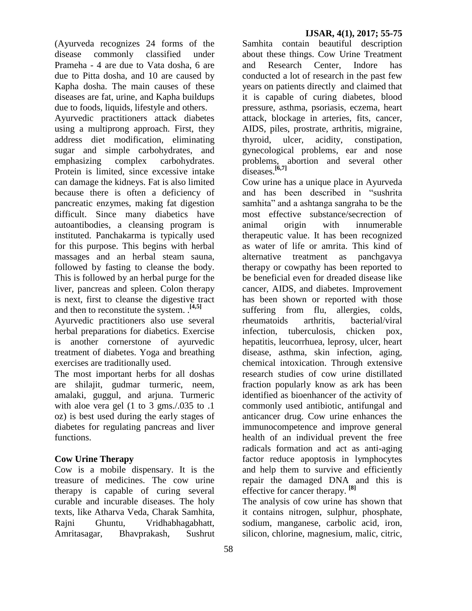(Ayurveda recognizes 24 forms of the disease commonly classified under Prameha - 4 are due to Vata dosha, 6 are due to Pitta dosha, and 10 are caused by Kapha dosha. The main causes of these diseases are fat, urine, and Kapha buildups due to foods, liquids, lifestyle and others.

Ayurvedic practitioners attack diabetes using a multiprong approach. First, they address diet modification, eliminating sugar and simple carbohydrates, and emphasizing complex carbohydrates. Protein is limited, since excessive intake can damage the kidneys. Fat is also limited because there is often a deficiency of pancreatic enzymes, making fat digestion difficult. Since many diabetics have autoantibodies, a cleansing program is instituted. Panchakarma is typically used for this purpose. This begins with herbal massages and an herbal steam sauna, followed by fasting to cleanse the body. This is followed by an herbal purge for the liver, pancreas and spleen. Colon therapy is next, first to cleanse the digestive tract and then to reconstitute the system. .**[4,5]**

Ayurvedic practitioners also use several herbal preparations for diabetics. Exercise is another cornerstone of ayurvedic treatment of diabetes. Yoga and breathing exercises are traditionally used.

The most important herbs for all doshas are shilajit, gudmar turmeric, neem, amalaki, guggul, and arjuna. Turmeric with aloe vera gel (1 to 3 gms./.035 to .1 oz) is best used during the early stages of diabetes for regulating pancreas and liver functions.

### **Cow Urine Therapy**

Cow is a mobile dispensary. It is the treasure of medicines. The cow urine therapy is capable of curing several curable and incurable diseases. The holy texts, like Atharva Veda, Charak Samhita, Rajni Ghuntu, Vridhabhagabhatt, Amritasagar, Bhavprakash, Sushrut

58

Samhita contain beautiful description about these things. Cow Urine Treatment and Research Center, Indore has conducted a lot of research in the past few years on patients directly and claimed that it is capable of curing diabetes, blood pressure, asthma, psoriasis, eczema, heart attack, blockage in arteries, fits, cancer, AIDS, piles, prostrate, arthritis, migraine, thyroid, ulcer, acidity, constipation, gynecological problems, ear and nose problems, abortion and several other diseases.**[6,7]**

Cow urine has a unique place in Ayurveda and has been described in "sushrita samhita" and a ashtanga sangraha to be the most effective substance/secrection of animal origin with innumerable therapeutic value. It has been recognized as water of life or amrita. This kind of alternative treatment as panchgavya therapy or cowpathy has been reported to be beneficial even for dreaded disease like cancer, AIDS, and diabetes. Improvement has been shown or reported with those suffering from flu, allergies, colds, rheumatoids arthritis, bacterial/viral infection, tuberculosis, chicken pox, hepatitis, leucorrhuea, leprosy, ulcer, heart disease, asthma, skin infection, aging, chemical intoxication. Through extensive research studies of cow urine distillated fraction popularly know as ark has been identified as bioenhancer of the activity of commonly used antibiotic, antifungal and anticancer drug. Cow urine enhances the immunocompetence and improve general health of an individual prevent the free radicals formation and act as anti-aging factor reduce apoptosis in lymphocytes and help them to survive and efficiently repair the damaged DNA and this is effective for cancer therapy. **[8]**

The analysis of cow urine has shown that it contains nitrogen, sulphur, phosphate, sodium, manganese, carbolic acid, iron, silicon, chlorine, magnesium, malic, citric,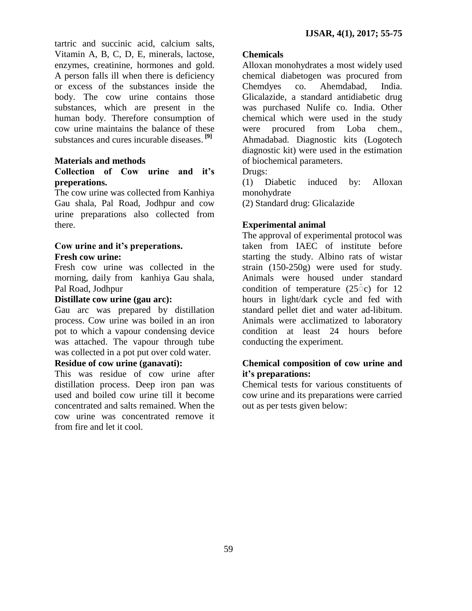tartric and succinic acid, calcium salts, Vitamin A, B, C, D, E, minerals, lactose, enzymes, creatinine, hormones and gold. A person falls ill when there is deficiency or excess of the substances inside the body. The cow urine contains those substances, which are present in the human body. Therefore consumption of cow urine maintains the balance of these substances and cures incurable diseases. **[9]**

### **Materials and methods**

### **Collection of Cow urine and it's preperations.**

The cow urine was collected from Kanhiya Gau shala, Pal Road, Jodhpur and cow urine preparations also collected from there.

# **Cow urine and it's preperations. Fresh cow urine:**

Fresh cow urine was collected in the morning, daily from kanhiya Gau shala, Pal Road, Jodhpur

# **Distillate cow urine (gau arc):**

Gau arc was prepared by distillation process. Cow urine was boiled in an iron pot to which a vapour condensing device was attached. The vapour through tube was collected in a pot put over cold water.

# **Residue of cow urine (ganavati):**

This was residue of cow urine after distillation process. Deep iron pan was used and boiled cow urine till it become concentrated and salts remained. When the cow urine was concentrated remove it from fire and let it cool.

#### **Chemicals**

Alloxan monohydrates a most widely used chemical diabetogen was procured from Chemdyes co. Ahemdabad, India. Glicalazide, a standard antidiabetic drug was purchased Nulife co. India. Other chemical which were used in the study were procured from Loba chem., Ahmadabad. Diagnostic kits (Logotech diagnostic kit) were used in the estimation of biochemical parameters.

Drugs:

(1) Diabetic induced by: Alloxan monohydrate

(2) Standard drug: Glicalazide

### **Experimental animal**

The approval of experimental protocol was taken from IAEC of institute before starting the study. Albino rats of wistar strain (150-250g) were used for study. Animals were housed under standard condition of temperature  $(25\degree c)$  for 12 hours in light/dark cycle and fed with standard pellet diet and water ad-libitum. Animals were acclimatized to laboratory condition at least 24 hours before conducting the experiment.

# **Chemical composition of cow urine and it's preparations:**

Chemical tests for various constituents of cow urine and its preparations were carried out as per tests given below: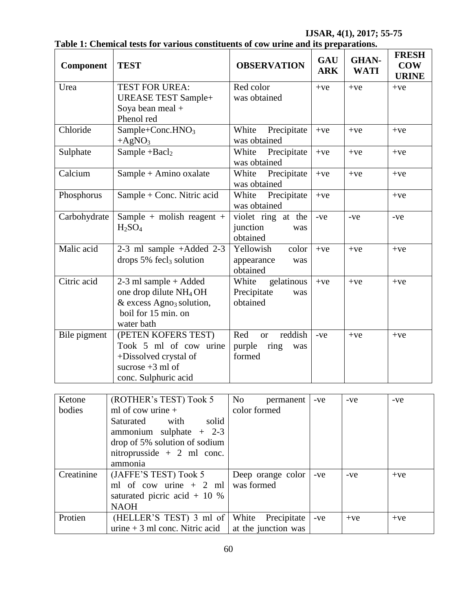| Component    | <b>TEST</b>                                                | <b>OBSERVATION</b>                   | GAU<br><b>ARK</b> | <b>GHAN-</b><br><b>WATI</b> | <b>FRESH</b><br><b>COW</b><br><b>URINE</b> |  |
|--------------|------------------------------------------------------------|--------------------------------------|-------------------|-----------------------------|--------------------------------------------|--|
| Urea         | <b>TEST FOR UREA:</b>                                      | Red color                            | $+ve$             | $+ve$                       | $+ve$                                      |  |
|              | <b>UREASE TEST Sample+</b>                                 | was obtained                         |                   |                             |                                            |  |
|              | Soya bean meal +                                           |                                      |                   |                             |                                            |  |
|              | Phenol red                                                 |                                      |                   |                             |                                            |  |
| Chloride     | Sample+Conc.HNO <sub>3</sub>                               | Precipitate<br>White                 | $+ve$             | $+ve$                       | $+ve$                                      |  |
|              | $+AgNO3$                                                   | was obtained                         |                   |                             |                                            |  |
| Sulphate     | Sample $+Bacl2$                                            | Precipitate<br>White<br>was obtained | $+ve$             | $+ve$                       | $+ve$                                      |  |
| Calcium      | Sample + Amino oxalate                                     | Precipitate<br>White                 | $+ve$             | $+ve$                       | $+ve$                                      |  |
|              |                                                            | was obtained                         |                   |                             |                                            |  |
| Phosphorus   | Sample + Conc. Nitric acid                                 | Precipitate<br>White                 | $+ve$             |                             | $+ve$                                      |  |
|              |                                                            | was obtained                         |                   |                             |                                            |  |
| Carbohydrate | Sample + molish reagent +                                  | violet ring at the                   | $-ve$             | -ve                         | $-ve$                                      |  |
|              | H <sub>2</sub> SO <sub>4</sub>                             | junction<br>was                      |                   |                             |                                            |  |
|              |                                                            | obtained                             |                   |                             |                                            |  |
| Malic acid   | 2-3 ml sample $+A$ dded 2-3                                | Yellowish<br>color                   | $+ve$             | $+ve$                       | $+ve$                                      |  |
|              | drops $5\%$ fecl <sub>3</sub> solution                     | appearance<br>was                    |                   |                             |                                            |  |
|              |                                                            | obtained                             |                   |                             |                                            |  |
| Citric acid  | $2-3$ ml sample + Added                                    | gelatinous<br>White                  | $+ve$             | $+ve$                       | $+ve$                                      |  |
|              | one drop dilute NH <sub>4</sub> OH                         | Precipitate<br>was<br>obtained       |                   |                             |                                            |  |
|              | & excess $Agno3$ solution,<br>boil for 15 min. on          |                                      |                   |                             |                                            |  |
|              | water bath                                                 |                                      |                   |                             |                                            |  |
| Bile pigment | (PETEN KOFERS TEST)                                        | Red<br>reddish<br><b>or</b>          | -ve               | $+ve$                       | $+{\mathrm{ve}}$                           |  |
|              | Took 5 ml of cow urine                                     | purple<br>ring<br>was                |                   |                             |                                            |  |
|              | +Dissolved crystal of                                      | formed                               |                   |                             |                                            |  |
|              | sucrose $+3$ ml of                                         |                                      |                   |                             |                                            |  |
|              | conc. Sulphuric acid                                       |                                      |                   |                             |                                            |  |
|              |                                                            |                                      |                   |                             |                                            |  |
| Ketone       | (ROTHER's TEST) Took 5                                     | N <sub>o</sub><br>permanent          | -ve               | -ve                         | $-ve$                                      |  |
| bodies       | ml of cow urine +                                          | color formed                         |                   |                             |                                            |  |
|              | Saturated<br>solid<br>with                                 |                                      |                   |                             |                                            |  |
|              | ammonium sulphate $+$ 2-3<br>drop of 5% solution of sodium |                                      |                   |                             |                                            |  |
|              | nitroprusside + 2 ml conc.                                 |                                      |                   |                             |                                            |  |
|              | ammonia                                                    |                                      |                   |                             |                                            |  |
| Creatinine   | (JAFFE'S TEST) Took 5                                      | Deep orange color                    | $-ve$             | $-ve$                       | $+ve$                                      |  |
|              | ml of cow urine $+2$ ml                                    | was formed                           |                   |                             |                                            |  |
|              | saturated picric acid $+$ 10 %                             |                                      |                   |                             |                                            |  |
|              | <b>NAOH</b>                                                |                                      |                   |                             |                                            |  |
| Protien      | (HELLER'S TEST) 3 ml of                                    | White<br>Precipitate                 | -ve               | $+ve$                       | $+ve$                                      |  |
|              | urine $+3$ ml conc. Nitric acid                            | at the junction was                  |                   |                             |                                            |  |

### **Table 1: Chemical tests for various constituents of cow urine and its preparations.**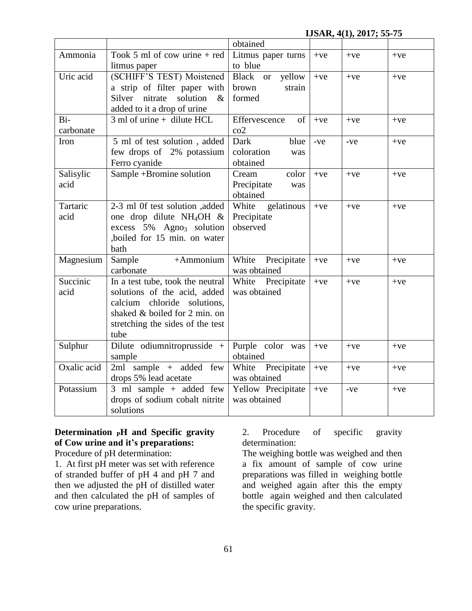| Ammonia           | Took 5 ml of cow urine $+$ red<br>litmus paper                                                                                                                                  | Litmus paper turns<br>to blue                    | $+ve$ | $+ve$ | $+ve$ |
|-------------------|---------------------------------------------------------------------------------------------------------------------------------------------------------------------------------|--------------------------------------------------|-------|-------|-------|
| Uric acid         | (SCHIFF'S TEST) Moistened<br>a strip of filter paper with<br>nitrate<br>solution<br>Silver<br>$\&$<br>added to it a drop of urine                                               | Black or<br>yellow<br>brown<br>strain<br>formed  | $+ve$ | $+ve$ | $+ve$ |
| Bi-<br>carbonate  | $3$ ml of urine + dilute HCL                                                                                                                                                    | Effervescence<br>of<br>$\rm{co2}$                | $+ve$ | $+ve$ | $+ve$ |
| Iron              | 5 ml of test solution, added<br>few drops of 2% potassium<br>Ferro cyanide                                                                                                      | Dark<br>blue<br>coloration<br>was<br>obtained    | -ve   | -ve   | $+ve$ |
| Salisylic<br>acid | Sample +Bromine solution                                                                                                                                                        | color<br>Cream<br>Precipitate<br>was<br>obtained | $+ve$ | $+ve$ | $+ve$ |
| Tartaric<br>acid  | 2-3 ml 0f test solution ,added<br>one drop dilute NH <sub>4</sub> OH $\&$<br>excess 5% Agno <sub>3</sub> solution<br>,boiled for 15 min. on water<br>bath                       | gelatinous<br>White<br>Precipitate<br>observed   | $+ve$ | $+ve$ | $+ve$ |
| Magnesium         | Sample<br>$+A$ mmonium<br>carbonate                                                                                                                                             | White<br>Precipitate<br>was obtained             | $+ve$ | $+ve$ | $+ve$ |
| Succinic<br>acid  | In a test tube, took the neutral<br>solutions of the acid, added<br>chloride solutions,<br>calcium<br>shaked & boiled for 2 min. on<br>stretching the sides of the test<br>tube | White<br>Precipitate<br>was obtained             | $+ve$ | $+ve$ | $+ve$ |
| Sulphur           | Dilute odiumnitroprusside +<br>sample                                                                                                                                           | Purple color was<br>obtained                     | $+ve$ | $+ve$ | $+ve$ |
| Oxalic acid       | 2ml sample + added few<br>drops 5% lead acetate                                                                                                                                 | Precipitate<br>White<br>was obtained             | $+ve$ | $+ve$ | $+ve$ |
| Potassium         | 3 ml $\overline{\text{sample}}$ + added few<br>drops of sodium cobalt nitrite<br>solutions                                                                                      | Yellow Precipitate<br>was obtained               | $+ve$ | $-ve$ | $+ve$ |

### **Determination PH and Specific gravity of Cow urine and it's preparations:** Procedure of pH determination:

1. At first pH meter was set with reference of stranded buffer of pH 4 and pH 7 and then we adjusted the pH of distilled water and then calculated the pH of samples of cow urine preparations.

2. Procedure of specific gravity determination:

The weighing bottle was weighed and then a fix amount of sample of cow urine preparations was filled in weighing bottle and weighed again after this the empty bottle again weighed and then calculated the specific gravity.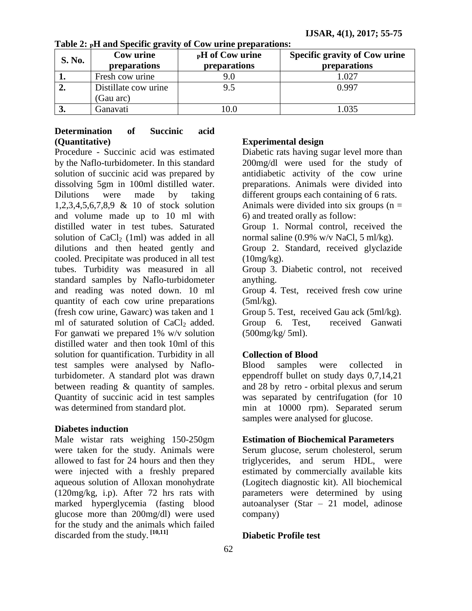|               | Cow urine            | <b>PH</b> of Cow urine | <b>Specific gravity of Cow urine</b> |  |  |
|---------------|----------------------|------------------------|--------------------------------------|--|--|
| <b>S. No.</b> | preparations         | preparations           | preparations                         |  |  |
|               | Fresh cow urine      | 9.0                    | 1.027                                |  |  |
| 2.            | Distillate cow urine | 9.5                    | 0.997                                |  |  |
|               | (Gau arc)            |                        |                                      |  |  |
| J.            | Ganavati             | 0.0                    | 1.035                                |  |  |

**Table 2: PH and Specific gravity of Cow urine preparations:**

# **Determination of Succinic acid (Quantitative)**

Procedure - Succinic acid was estimated by the Naflo-turbidometer. In this standard solution of succinic acid was prepared by dissolving 5gm in 100ml distilled water. Dilutions were made by taking 1,2,3,4,5,6,7,8,9 & 10 of stock solution and volume made up to 10 ml with distilled water in test tubes. Saturated solution of  $CaCl<sub>2</sub>$  (1ml) was added in all dilutions and then heated gently and cooled. Precipitate was produced in all test tubes. Turbidity was measured in all standard samples by Naflo-turbidometer and reading was noted down. 10 ml quantity of each cow urine preparations (fresh cow urine, Gawarc) was taken and 1 ml of saturated solution of  $CaCl<sub>2</sub>$  added. For ganwati we prepared 1% w/v solution distilled water and then took 10ml of this solution for quantification. Turbidity in all test samples were analysed by Nafloturbidometer. A standard plot was drawn between reading & quantity of samples. Quantity of succinic acid in test samples was determined from standard plot.

### **Diabetes induction**

Male wistar rats weighing 150-250gm were taken for the study. Animals were allowed to fast for 24 hours and then they were injected with a freshly prepared aqueous solution of Alloxan monohydrate (120mg/kg, i.p). After 72 hrs rats with marked hyperglycemia (fasting blood glucose more than 200mg/dl) were used for the study and the animals which failed discarded from the study. **[10,11]**

### **Experimental design**

Diabetic rats having sugar level more than 200mg/dl were used for the study of antidiabetic activity of the cow urine preparations. Animals were divided into different groups each containing of 6 rats.

Animals were divided into six groups  $(n =$ 6) and treated orally as follow:

Group 1. Normal control, received the normal saline (0.9% w/v NaCl, 5 ml/kg).

Group 2. Standard, received glyclazide  $(10mg/kg)$ .

Group 3. Diabetic control, not received anything.

Group 4. Test, received fresh cow urine  $(5ml/kg)$ .

Group 5. Test, received Gau ack (5ml/kg). Group 6. Test, received Ganwati (500mg/kg/ 5ml).

### **Collection of Blood**

Blood samples were collected in eppendroff bullet on study days 0,7,14,21 and 28 by retro - orbital plexus and serum was separated by centrifugation (for 10 min at 10000 rpm). Separated serum samples were analysed for glucose.

### **Estimation of Biochemical Parameters**

Serum glucose, serum cholesterol, serum triglycerides, and serum HDL, were estimated by commercially available kits (Logitech diagnostic kit). All biochemical parameters were determined by using autoanalyser (Star – 21 model, adinose company)

### **Diabetic Profile test**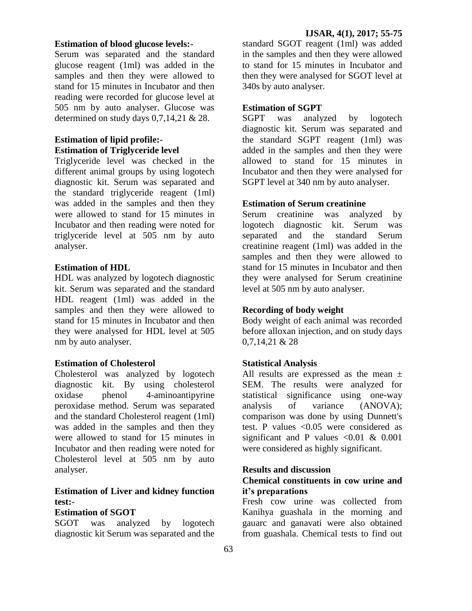#### **Estimation of blood glucose levels:-**

Serum was separated and the standard glucose reagent (1ml) was added in the samples and then they were allowed to stand for 15 minutes in Incubator and then reading were recorded for glucose level at 505 nm by auto analyser. Glucose was determined on study days 0,7,14,21 & 28.

### **Estimation of lipid profile:- Estimation of Triglyceride level**

Triglyceride level was checked in the different animal groups by using logotech diagnostic kit. Serum was separated and the standard triglyceride reagent (1ml) was added in the samples and then they were allowed to stand for 15 minutes in Incubator and then reading were noted for triglyceride level at 505 nm by auto analyser.

### **Estimation of HDL**

HDL was analyzed by logotech diagnostic kit. Serum was separated and the standard HDL reagent (1ml) was added in the samples and then they were allowed to stand for 15 minutes in Incubator and then they were analysed for HDL level at 505 nm by auto analyser.

#### **Estimation of Cholesterol**

Cholesterol was analyzed by logotech diagnostic kit. By using cholesterol oxidase phenol 4-aminoantipyrine peroxidase method. Serum was separated and the standard Cholesterol reagent (1ml) was added in the samples and then they were allowed to stand for 15 minutes in Incubator and then reading were noted for Cholesterol level at 505 nm by auto analyser.

# **Estimation of Liver and kidney function test:-**

#### **Estimation of SGOT**

SGOT was analyzed by logotech diagnostic kit Serum was separated and the

standard SGOT reagent (1ml) was added in the samples and then they were allowed to stand for 15 minutes in Incubator and then they were analysed for SGOT level at 340s by auto analyser.

### **Estimation of SGPT**

SGPT was analyzed by logotech diagnostic kit. Serum was separated and the standard SGPT reagent (1ml) was added in the samples and then they were allowed to stand for 15 minutes in Incubator and then they were analysed for SGPT level at 340 nm by auto analyser.

### **Estimation of Serum creatinine**

Serum creatinine was analyzed by logotech diagnostic kit. Serum was separated and the standard Serum creatinine reagent (1ml) was added in the samples and then they were allowed to stand for 15 minutes in Incubator and then they were analysed for Serum creatinine level at 505 nm by auto analyser.

#### **Recording of body weight**

Body weight of each animal was recorded before alloxan injection, and on study days 0,7,14,21 & 28

#### **Statistical Analysis**

All results are expressed as the mean  $\pm$ SEM. The results were analyzed for statistical significance using one-way analysis of variance (ANOVA); comparison was done by using Dunnett's test. P values <0.05 were considered as significant and P values  $\leq 0.01 \& 0.001$ were considered as highly significant.

#### **Results and discussion**

### **Chemical constituents in cow urine and it's preparations**

Fresh cow urine was collected from Kanihya guashala in the morning and gauarc and ganavati were also obtained from guashala. Chemical tests to find out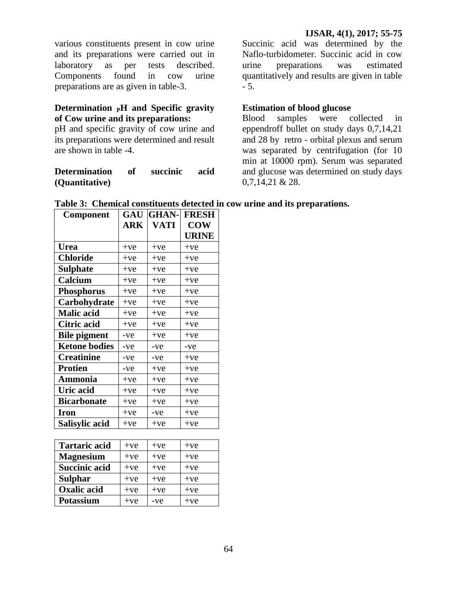various constituents present in cow urine and its preparations were carried out in laboratory as per tests described. Components found in cow urine preparations are as given in table-3.

### **Determination PH and Specific gravity of Cow urine and its preparations:**

pH and specific gravity of cow urine and its preparations were determined and result are shown in table -4.

### **Determination of succinic acid (Quantitative)**

Succinic acid was determined by the Naflo-turbidometer. Succinic acid in cow urine preparations was estimated quantitatively and results are given in table - 5.

### **Estimation of blood glucose**

Blood samples were collected in eppendroff bullet on study days 0,7,14,21 and 28 by retro - orbital plexus and serum was separated by centrifugation (for 10 min at 10000 rpm). Serum was separated and glucose was determined on study days 0,7,14,21 & 28.

| Component            | GAU   | <b>GHAN-</b> | <b>FRESH</b> |
|----------------------|-------|--------------|--------------|
|                      | ARK   | <b>VATI</b>  | <b>COW</b>   |
|                      |       |              | <b>URINE</b> |
| <b>Urea</b>          | $+ve$ | $+ve$        | $+ve$        |
| <b>Chloride</b>      | $+ve$ | $+ve$        | $+ve$        |
| Sulphate             | $+ve$ | $+ve$        | $+ve$        |
| Calcium              | $+ve$ | $+ve$        | $+ve$        |
| <b>Phosphorus</b>    | $+ve$ | $+ve$        | $+ve$        |
| Carbohydrate         | $+ve$ | $+ve$        | $+ve$        |
| <b>Malic acid</b>    | $+ve$ | $+ve$        | $+ve$        |
| Citric acid          | $+ve$ | $+ve$        | $+ve$        |
| <b>Bile pigment</b>  | -ve   | $+ve$        | $+ve$        |
| <b>Ketone bodies</b> | $-ve$ | $-ve$        | -ve          |
| <b>Creatinine</b>    | $-ve$ | $-ve$        | $+ve$        |
| <b>Protien</b>       | -ve   | $+ve$        | $+ve$        |
| Ammonia              | $+ve$ | $+ve$        | $+ve$        |
| Uric acid            | $+ve$ | $+ve$        | $+ve$        |
| <b>Bicarbonate</b>   | $+ve$ | $+ve$        | $+ve$        |
| <b>Iron</b>          | $+ve$ | $-ve$        | $+ve$        |
| Salisylic acid       | $+ve$ | $+ve$        | $+ve$        |

|  |  |  | Table 3: Chemical constituents detected in cow urine and its preparations. |
|--|--|--|----------------------------------------------------------------------------|
|  |  |  |                                                                            |

| <b>Tartaric acid</b> | $+ve$ | $+ve$ | $+ve$ |
|----------------------|-------|-------|-------|
| <b>Magnesium</b>     | $+ve$ | $+ve$ | $+ve$ |
| <b>Succinic acid</b> | $+ve$ | $+ve$ | $+ve$ |
| <b>Sulphar</b>       | $+ve$ | $+ve$ | $+ve$ |
| <b>Oxalic acid</b>   | $+ve$ | $+ve$ | $+ve$ |
| Potassium            | $+ve$ | -ve   | $+ve$ |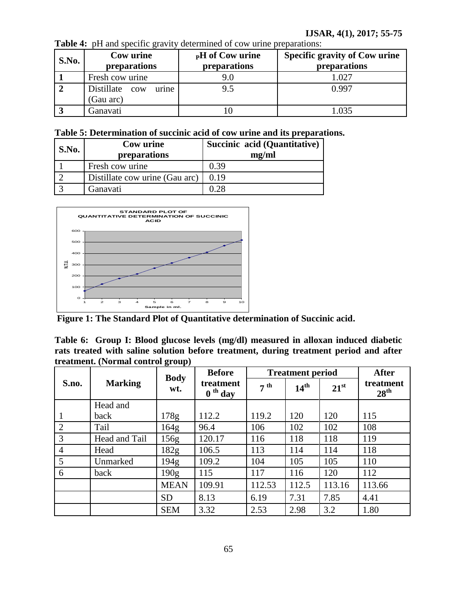| <b>S.No.</b> | Cow urine<br>preparations            | <b>PH</b> of Cow urine<br>preparations | <b>Specific gravity of Cow urine</b><br>preparations |
|--------------|--------------------------------------|----------------------------------------|------------------------------------------------------|
|              | Fresh cow urine                      | 9.0                                    | 1.027                                                |
|              | Distillate cow<br>urine<br>(Gau arc) | 9.5                                    | 0.997                                                |
|              | Ganavati                             |                                        | .035                                                 |

**Table 4:** pH and specific gravity determined of cow urine preparations:

| Table 5: Determination of succinic acid of cow urine and its preparations. |
|----------------------------------------------------------------------------|
|----------------------------------------------------------------------------|

| S.No. | Cow urine<br>preparations      | Succinic acid (Quantitative)<br>mg/ml |
|-------|--------------------------------|---------------------------------------|
|       | Fresh cow urine                | 0.39                                  |
|       | Distillate cow urine (Gau arc) | 0.19                                  |
|       | Ganavati                       | በ ንՋ                                  |



**Figure 1: The Standard Plot of Quantitative determination of Succinic acid.**

**Table 6: Group I: Blood glucose levels (mg/dl) measured in alloxan induced diabetic rats treated with saline solution before treatment, during treatment period and after treatment. (Normal control group)**

|                | <b>Marking</b> | <b>Body</b>      | <b>Before</b>          | <b>Treatment period</b> |                  | <b>After</b>  |                               |
|----------------|----------------|------------------|------------------------|-------------------------|------------------|---------------|-------------------------------|
| S.no.          |                | wt.              | treatment<br>$0th$ day | $7^{th}$                | 14 <sup>th</sup> | $21^{\rm st}$ | treatment<br>28 <sup>th</sup> |
|                | Head and       |                  |                        |                         |                  |               |                               |
| 1              | back           | 178g             | 112.2                  | 119.2                   | 120              | 120           | 115                           |
| 2              | Tail           | 164g             | 96.4                   | 106                     | 102              | 102           | 108                           |
| 3              | Head and Tail  | 156g             | 120.17                 | 116                     | 118              | 118           | 119                           |
| $\overline{4}$ | Head           | 182 <sub>g</sub> | 106.5                  | 113                     | 114              | 114           | 118                           |
| 5              | Unmarked       | 194g             | 109.2                  | 104                     | 105              | 105           | 110                           |
| 6              | back           | 190 <sub>g</sub> | 115                    | 117                     | 116              | 120           | 112                           |
|                |                | <b>MEAN</b>      | 109.91                 | 112.53                  | 112.5            | 113.16        | 113.66                        |
|                |                | <b>SD</b>        | 8.13                   | 6.19                    | 7.31             | 7.85          | 4.41                          |
|                |                | <b>SEM</b>       | 3.32                   | 2.53                    | 2.98             | 3.2           | 1.80                          |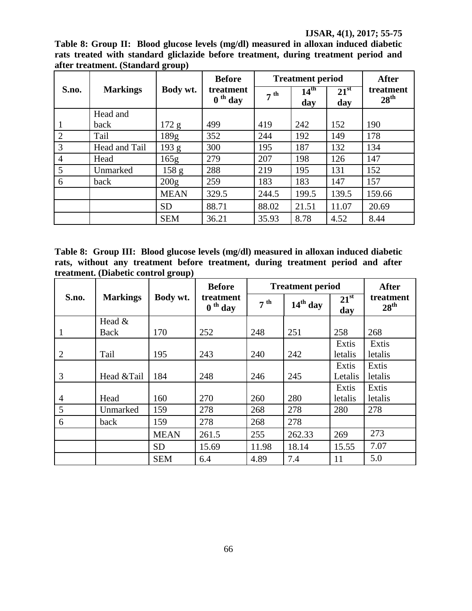**Table 8: Group II: Blood glucose levels (mg/dl) measured in alloxan induced diabetic rats treated with standard gliclazide before treatment, during treatment period and after treatment. (Standard group)**

|                | <b>Markings</b> |                  | <b>Before</b>                                        | <b>Treatment period</b> |                         |                      | <b>After</b>                  |
|----------------|-----------------|------------------|------------------------------------------------------|-------------------------|-------------------------|----------------------|-------------------------------|
| S.no.          |                 | Body wt.         | treatment<br>$J^{\text{th}}$ day<br>$\boldsymbol{0}$ | $7^{th}$                | 14 <sup>th</sup><br>day | $21^{\rm st}$<br>day | treatment<br>$28^{\text{th}}$ |
|                | Head and        |                  |                                                      |                         |                         |                      |                               |
| 1              | back            | 172 g            | 499                                                  | 419                     | 242                     | 152                  | 190                           |
| $\overline{2}$ | Tail            | 189 <sub>g</sub> | 352                                                  | 244                     | 192                     | 149                  | 178                           |
| 3              | Head and Tail   | 193 g            | 300                                                  | 195                     | 187                     | 132                  | 134                           |
| $\overline{4}$ | Head            | 165g             | 279                                                  | 207                     | 198                     | 126                  | 147                           |
| 5              | Unmarked        | 158 <sub>g</sub> | 288                                                  | 219                     | 195                     | 131                  | 152                           |
| 6              | back            | 200g             | 259                                                  | 183                     | 183                     | 147                  | 157                           |
|                |                 | <b>MEAN</b>      | 329.5                                                | 244.5                   | 199.5                   | 139.5                | 159.66                        |
|                |                 | <b>SD</b>        | 88.71                                                | 88.02                   | 21.51                   | 11.07                | 20.69                         |
|                |                 | <b>SEM</b>       | 36.21                                                | 35.93                   | 8.78                    | 4.52                 | 8.44                          |

**Table 8: Group III: Blood glucose levels (mg/dl) measured in alloxan induced diabetic rats, without any treatment before treatment, during treatment period and after treatment. (Diabetic control group)**

|                | Body wt.<br><b>Markings</b> | <b>Before</b> | <b>Treatment period</b> |                 |            | <b>After</b>         |                               |
|----------------|-----------------------------|---------------|-------------------------|-----------------|------------|----------------------|-------------------------------|
| S.no.          |                             |               | treatment<br>$0th$ day  | 7 <sup>th</sup> | $14th$ day | $21^{\rm st}$<br>day | treatment<br>28 <sup>th</sup> |
|                | Head $&$                    |               |                         |                 |            |                      |                               |
| 1              | Back                        | 170           | 252                     | 248             | 251        | 258                  | 268                           |
|                |                             |               |                         |                 |            | Extis                | Extis                         |
| 2              | Tail                        | 195           | 243                     | 240             | 242        | letalis              | letalis                       |
|                |                             |               |                         |                 |            | Extis                | Extis                         |
| 3              | Head &Tail                  | 184           | 248                     | 246             | 245        | Letalis              | letalis                       |
|                |                             |               |                         |                 |            | Extis                | Extis                         |
| $\overline{4}$ | Head                        | 160           | 270                     | 260             | 280        | letalis              | letalis                       |
| 5              | Unmarked                    | 159           | 278                     | 268             | 278        | 280                  | 278                           |
| 6              | back                        | 159           | 278                     | 268             | 278        |                      |                               |
|                |                             | <b>MEAN</b>   | 261.5                   | 255             | 262.33     | 269                  | 273                           |
|                |                             | <b>SD</b>     | 15.69                   | 11.98           | 18.14      | 15.55                | 7.07                          |
|                |                             | <b>SEM</b>    | 6.4                     | 4.89            | 7.4        | 11                   | 5.0                           |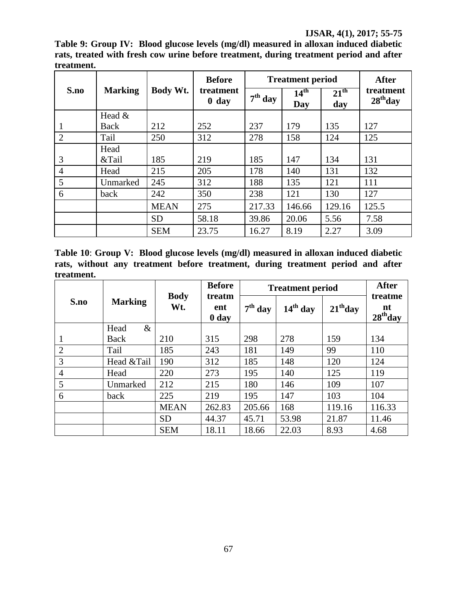**Table 9: Group IV: Blood glucose levels (mg/dl) measured in alloxan induced diabetic rats, treated with fresh cow urine before treatment, during treatment period and after treatment.**

|                | <b>Marking</b> |             | <b>Before</b>        |           | <b>Treatment period</b> | <b>After</b>            |                         |
|----------------|----------------|-------------|----------------------|-----------|-------------------------|-------------------------|-------------------------|
| S.no           |                | Body Wt.    | treatment<br>$0$ day | $7th$ day | 14 <sup>th</sup><br>Day | $21^{\text{th}}$<br>day | treatment<br>$28th$ day |
|                | Head $&$       |             |                      |           |                         |                         |                         |
|                | Back           | 212         | 252                  | 237       | 179                     | 135                     | 127                     |
| $\overline{2}$ | Tail           | 250         | 312                  | 278       | 158                     | 124                     | 125                     |
|                | Head           |             |                      |           |                         |                         |                         |
| 3              | &Tail          | 185         | 219                  | 185       | 147                     | 134                     | 131                     |
| $\overline{4}$ | Head           | 215         | 205                  | 178       | 140                     | 131                     | 132                     |
| 5              | Unmarked       | 245         | 312                  | 188       | 135                     | 121                     | 111                     |
| 6              | back           | 242         | 350                  | 238       | 121                     | 130                     | 127                     |
|                |                | <b>MEAN</b> | 275                  | 217.33    | 146.66                  | 129.16                  | 125.5                   |
|                |                | <b>SD</b>   | 58.18                | 39.86     | 20.06                   | 5.56                    | 7.58                    |
|                |                | <b>SEM</b>  | 23.75                | 16.27     | 8.19                    | 2.27                    | 3.09                    |

**Table 10**: **Group V: Blood glucose levels (mg/dl) measured in alloxan induced diabetic rats, without any treatment before treatment, during treatment period and after treatment.**

|                | <b>Marking</b> |                    | <b>Before</b>          | <b>Treatment period</b> | <b>After</b> |            |                             |
|----------------|----------------|--------------------|------------------------|-------------------------|--------------|------------|-----------------------------|
| S.no           |                | <b>Body</b><br>Wt. | treatm<br>ent<br>0 day | $7th$ day               | $14th$ day   | $21th$ day | treatme<br>nt<br>$28th$ day |
|                | $\&$<br>Head   |                    |                        |                         |              |            |                             |
| 1              | Back           | 210                | 315                    | 298                     | 278          | 159        | 134                         |
| $\overline{2}$ | Tail           | 185                | 243                    | 181                     | 149          | 99         | 110                         |
| 3              | Head &Tail     | 190                | 312                    | 185                     | 148          | 120        | 124                         |
| $\overline{4}$ | Head           | 220                | 273                    | 195                     | 140          | 125        | 119                         |
| 5              | Unmarked       | 212                | 215                    | 180                     | 146          | 109        | 107                         |
| 6              | back           | 225                | 219                    | 195                     | 147          | 103        | 104                         |
|                |                | <b>MEAN</b>        | 262.83                 | 205.66                  | 168          | 119.16     | 116.33                      |
|                |                | <b>SD</b>          | 44.37                  | 45.71                   | 53.98        | 21.87      | 11.46                       |
|                |                | <b>SEM</b>         | 18.11                  | 18.66                   | 22.03        | 8.93       | 4.68                        |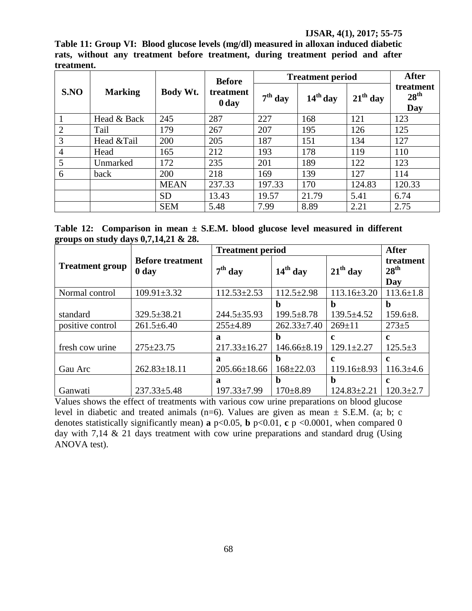**Table 11: Group VI: Blood glucose levels (mg/dl) measured in alloxan induced diabetic rats, without any treatment before treatment, during treatment period and after treatment.**

| S.NO           | <b>Marking</b> |             | <b>Before</b>      | <b>Treatment period</b> | <b>After</b> |            |                                      |
|----------------|----------------|-------------|--------------------|-------------------------|--------------|------------|--------------------------------------|
|                |                | Body Wt.    | treatment<br>0 day | $7th$ day               | $14th$ day   | $21th$ day | treatment<br>28 <sup>th</sup><br>Day |
|                | Head & Back    | 245         | 287                | 227                     | 168          | 121        | 123                                  |
| $\overline{2}$ | Tail           | 179         | 267                | 207                     | 195          | 126        | 125                                  |
| 3              | Head &Tail     | 200         | 205                | 187                     | 151          | 134        | 127                                  |
| $\overline{4}$ | Head           | 165         | 212                | 193                     | 178          | 119        | 110                                  |
| 5              | Unmarked       | 172         | 235                | 201                     | 189          | 122        | 123                                  |
| 6              | back           | 200         | 218                | 169                     | 139          | 127        | 114                                  |
|                |                | <b>MEAN</b> | 237.33             | 197.33                  | 170          | 124.83     | 120.33                               |
|                |                | <b>SD</b>   | 13.43              | 19.57                   | 21.79        | 5.41       | 6.74                                 |
|                |                | <b>SEM</b>  | 5.48               | 7.99                    | 8.89         | 2.21       | 2.75                                 |

**Table 12: Comparison in mean ± S.E.M. blood glucose level measured in different groups on study days 0,7,14,21 & 28.**

|                        |                                             | <b>Treatment period</b> | <b>After</b>      |                   |                                      |
|------------------------|---------------------------------------------|-------------------------|-------------------|-------------------|--------------------------------------|
| <b>Treatment group</b> | <b>Before treatment</b><br>0 <sub>day</sub> | $7th$ day               | $14th$ day        | $21th$ day        | treatment<br>28 <sup>th</sup><br>Day |
| Normal control         | $109.91 \pm 3.32$                           | $112.53 \pm 2.53$       | $112.5 \pm 2.98$  | $113.16 \pm 3.20$ | $113.6 \pm 1.8$                      |
|                        |                                             |                         | b                 | b                 | $\mathbf b$                          |
| standard               | $329.5 \pm 38.21$                           | $244.5 \pm 35.93$       | $199.5 \pm 8.78$  | $139.5 \pm 4.52$  | $159.6 \pm 8.$                       |
| positive control       | $261.5 \pm 6.40$                            | $255 \pm 4.89$          | $262.33 \pm 7.40$ | $269 \pm 11$      | $273 + 5$                            |
|                        |                                             | Я                       | b                 | $\mathbf c$       | $\mathbf c$                          |
| fresh cow urine        | $275 \pm 23.75$                             | $217.33 \pm 16.27$      | 146.66±8.19       | $129.1 \pm 2.27$  | $125.5 \pm 3$                        |
|                        |                                             | $\mathbf a$             | h                 | $\mathbf{c}$      | $\mathbf c$                          |
| Gau Arc                | $262.83 \pm 18.11$                          | $205.66 \pm 18.66$      | $168 \pm 22.03$   | $119.16 \pm 8.93$ | $116.3 \pm 4.6$                      |
|                        |                                             | $\mathbf a$             | b                 | b                 | c                                    |
| Ganwati                | $237.33 \pm 5.48$                           | 197.33±7.99             | $170 \pm 8.89$    | $124.83 \pm 2.21$ | $120.3 \pm 2.7$                      |

Values shows the effect of treatments with various cow urine preparations on blood glucose level in diabetic and treated animals (n=6). Values are given as mean  $\pm$  S.E.M. (a; b; c denotes statistically significantly mean) **a**  $p<0.05$ , **b**  $p<0.01$ , **c**  $p<0.0001$ , when compared 0 day with 7,14  $\&$  21 days treatment with cow urine preparations and standard drug (Using ANOVA test).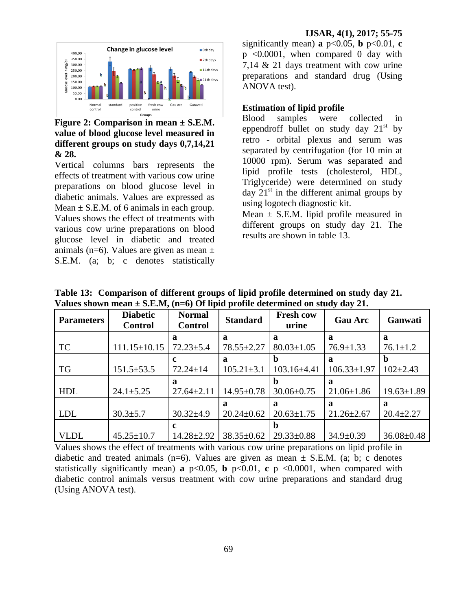# **Figure 2: Comparison in mean ± S.E.M. value of blood glucose level measured in different groups on study days 0,7,14,21 & 28.**

Vertical columns bars represents the effects of treatment with various cow urine preparations on blood glucose level in diabetic animals. Values are expressed as Mean  $\pm$  S.E.M. of 6 animals in each group. Values shows the effect of treatments with various cow urine preparations on blood glucose level in diabetic and treated animals (n=6). Values are given as mean  $\pm$ S.E.M. (a; b; c denotes statistically

significantly mean) **a**  $p<0.05$ , **b**  $p<0.01$ , **c** p <0.0001, when compared 0 day with 7,14 & 21 days treatment with cow urine preparations and standard drug (Using ANOVA test).

### **Estimation of lipid profile**

Blood samples were collected in eppendroff bullet on study day  $21<sup>st</sup>$  by retro - orbital plexus and serum was separated by centrifugation (for 10 min at 10000 rpm). Serum was separated and lipid profile tests (cholesterol, HDL, Triglyceride) were determined on study day  $21<sup>st</sup>$  in the different animal groups by using logotech diagnostic kit.

Mean  $\pm$  S.E.M. lipid profile measured in different groups on study day 21. The results are shown in table 13.

| <b>Parameters</b> | <b>Diabetic</b><br><b>Control</b> | <b>Normal</b><br><b>Control</b> |                  | <b>Fresh cow</b><br><b>Standard</b><br>urine |                   | Ganwati          |
|-------------------|-----------------------------------|---------------------------------|------------------|----------------------------------------------|-------------------|------------------|
|                   |                                   | a                               | a                | a                                            | a                 | a                |
| <b>TC</b>         | $111.15 \pm 10.15$                | $72.23 \pm 5.4$                 | $78.55 \pm 2.27$ | $80.03 \pm 1.05$                             | $76.9 \pm 1.33$   | $76.1 \pm 1.2$   |
|                   |                                   | c                               | a                | $\mathbf b$                                  | a                 | $\mathbf b$      |
| <b>TG</b>         | $151.5 \pm 53.5$                  | $72.24 \pm 14$                  | $105.21 \pm 3.1$ | 103.16±4.41                                  | $106.33 \pm 1.97$ | $102 \pm 2.43$   |
|                   |                                   | a                               |                  | b                                            | a                 |                  |
| <b>HDL</b>        | $24.1 \pm 5.25$                   | $27.64 \pm 2.11$                | $14.95 \pm 0.78$ | $30.06 \pm 0.75$                             | $21.06 \pm 1.86$  | $19.63 \pm 1.89$ |
|                   |                                   |                                 | a                | a                                            | a                 | a                |
| <b>LDL</b>        | $30.3 \pm 5.7$                    | $30.32{\pm}4.9$                 | $20.24 \pm 0.62$ | $20.63 \pm 1.75$                             | $21.26 \pm 2.67$  | $20.4 \pm 2.27$  |
|                   |                                   | c                               |                  | b                                            |                   |                  |
| <b>VLDL</b>       | $45.25 \pm 10.7$                  | $14.28 \pm 2.92$                | $38.35 \pm 0.62$ | $29.33 \pm 0.88$                             | $34.9 \pm 0.39$   | $36.08 \pm 0.48$ |

**Table 13: Comparison of different groups of lipid profile determined on study day 21. Values shown mean ± S.E.M, (n=6) Of lipid profile determined on study day 21.**

Values shows the effect of treatments with various cow urine preparations on lipid profile in diabetic and treated animals (n=6). Values are given as mean  $\pm$  S.E.M. (a; b; c denotes statistically significantly mean) **a**  $p<0.05$ , **b**  $p<0.01$ , **c**  $p <0.0001$ , when compared with diabetic control animals versus treatment with cow urine preparations and standard drug (Using ANOVA test).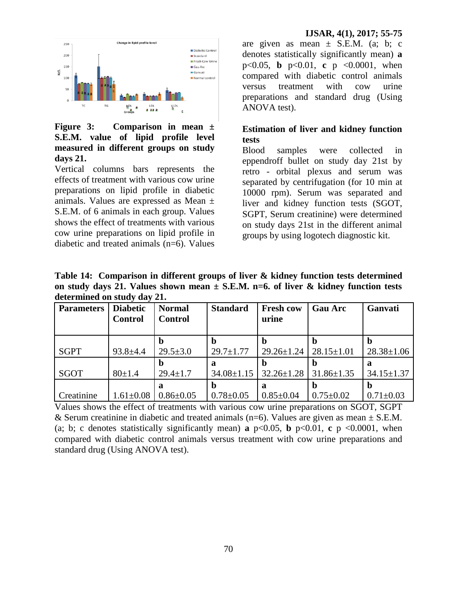

**Figure 3: Comparison in mean ± S.E.M. value of lipid profile level measured in different groups on study days 21.**

Vertical columns bars represents the effects of treatment with various cow urine preparations on lipid profile in diabetic animals. Values are expressed as Mean ± S.E.M. of 6 animals in each group. Values shows the effect of treatments with various cow urine preparations on lipid profile in diabetic and treated animals (n=6). Values

are given as mean  $\pm$  S.E.M. (a; b; c denotes statistically significantly mean) **a** p<0.05, **b** p<0.01, **c** p <0.0001, when compared with diabetic control animals versus treatment with cow urine preparations and standard drug (Using ANOVA test).

### **Estimation of liver and kidney function tests**

Blood samples were collected in eppendroff bullet on study day 21st by retro - orbital plexus and serum was separated by centrifugation (for 10 min at 10000 rpm). Serum was separated and liver and kidney function tests (SGOT, SGPT, Serum creatinine) were determined on study days 21st in the different animal groups by using logotech diagnostic kit.

**Table 14: Comparison in different groups of liver & kidney function tests determined on study days 21. Values shown mean ± S.E.M. n=6. of liver & kidney function tests determined on study day 21.**

| <b>Parameters</b> | <b>Diabetic</b><br><b>Control</b> | <b>Normal</b><br><b>Control</b> | <b>Standard</b>       | <b>Fresh cow</b><br>urine | <b>Gau Arc</b>   | Ganvati               |
|-------------------|-----------------------------------|---------------------------------|-----------------------|---------------------------|------------------|-----------------------|
| <b>SGPT</b>       | $93.8 \pm 4.4$                    | $29.5 \pm 3.0$                  | $29.7 \pm 1.77$       | $29.26 \pm 1.24$          | $28.15 \pm 1.01$ | $28.38 \pm 1.06$      |
| SGOT              | $80 \pm 1.4$                      | n<br>$29.4 \pm 1.7$             | ล<br>$34.08 \pm 1.15$ | $32.26 \pm 1.28$          | $31.86 \pm 1.35$ | a<br>$34.15 \pm 1.37$ |
| Creatinine        | $1.61 \pm 0.08$                   | a<br>$0.86 \pm 0.05$            | $0.78 \pm 0.05$       | a<br>$0.85 \pm 0.04$      | $0.75 \pm 0.02$  | $0.71 \pm 0.03$       |

Values shows the effect of treatments with various cow urine preparations on SGOT, SGPT & Serum creatinine in diabetic and treated animals (n=6). Values are given as mean  $\pm$  S.E.M. (a; b; c denotes statistically significantly mean) **a**  $p<0.05$ , **b**  $p<0.01$ , **c**  $p<0.0001$ , when compared with diabetic control animals versus treatment with cow urine preparations and standard drug (Using ANOVA test).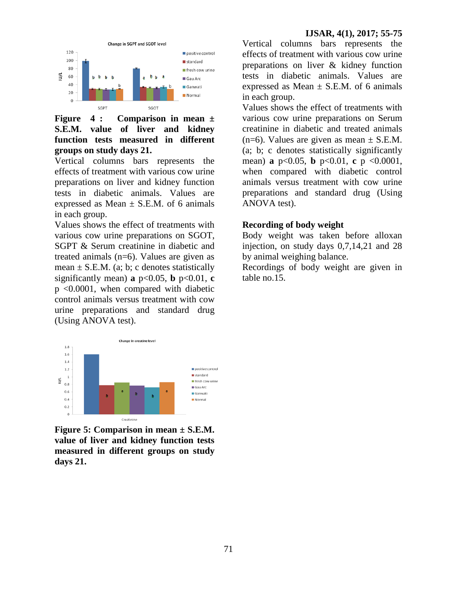

# **Figure 4 : Comparison in mean ± S.E.M. value of liver and kidney function tests measured in different groups on study days 21.**

Vertical columns bars represents the effects of treatment with various cow urine preparations on liver and kidney function tests in diabetic animals. Values are expressed as Mean  $\pm$  S.E.M. of 6 animals in each group.

Values shows the effect of treatments with various cow urine preparations on SGOT, SGPT & Serum creatinine in diabetic and treated animals (n=6). Values are given as mean  $\pm$  S.E.M. (a; b; c denotes statistically significantly mean) **a**  $p<0.05$ , **b**  $p<0.01$ , **c** p <0.0001, when compared with diabetic control animals versus treatment with cow urine preparations and standard drug (Using ANOVA test).



**Figure 5: Comparison in mean ± S.E.M. value of liver and kidney function tests measured in different groups on study days 21.**

Vertical columns bars represents the effects of treatment with various cow urine preparations on liver & kidney function tests in diabetic animals. Values are expressed as Mean  $\pm$  S.E.M. of 6 animals in each group.

Values shows the effect of treatments with various cow urine preparations on Serum creatinine in diabetic and treated animals  $(n=6)$ . Values are given as mean  $\pm$  S.E.M. (a; b; c denotes statistically significantly mean) **a** p<0.05, **b** p<0.01, **c** p <0.0001, when compared with diabetic control animals versus treatment with cow urine preparations and standard drug (Using ANOVA test).

### **Recording of body weight**

Body weight was taken before alloxan injection, on study days 0,7,14,21 and 28 by animal weighing balance.

Recordings of body weight are given in table no.15.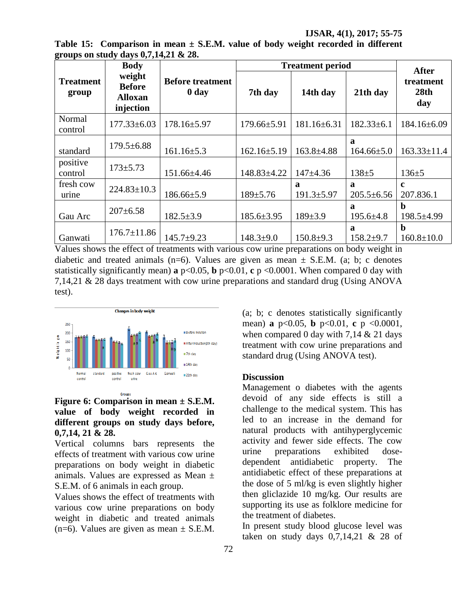**IJSAR, 4(1), 2017; 55-75**

| Table 15: Comparison in mean $\pm$ S.E.M. value of body weight recorded in different |  |  |  |  |
|--------------------------------------------------------------------------------------|--|--|--|--|
| groups on study days $0,7,14,21 \& 28$ .                                             |  |  |  |  |

| 0                         | - 97<br><b>Body</b>                                    |                                             |                   | <b>Treatment period</b> |                       | <b>After</b>                    |  |
|---------------------------|--------------------------------------------------------|---------------------------------------------|-------------------|-------------------------|-----------------------|---------------------------------|--|
| <b>Treatment</b><br>group | weight<br><b>Before</b><br><b>Alloxan</b><br>injection | <b>Before treatment</b><br>0 day<br>7th day |                   | 14th day                | 21th day              | treatment<br>28th<br>day        |  |
| Normal<br>control         | $177.33 \pm 6.03$                                      | $178.16 \pm 5.97$<br>$179.66 \pm 5.91$      |                   | $181.16 \pm 6.31$       | $182.33 \pm 6.1$      | 184.16±6.09                     |  |
| standard                  | $179.5 \pm 6.88$                                       | $161.16 \pm 5.3$                            | $162.16 \pm 5.19$ | $163.8 \pm 4.88$        | a<br>$164.66 \pm 5.0$ | $163.33 \pm 11.4$               |  |
| positive<br>control       | $173 \pm 5.73$                                         | 151.66±4.46                                 | 148.83±4.22       | $147+4.36$              | $138 + 5$             | $136 \pm 5$                     |  |
| fresh cow<br>urine        | $224.83 \pm 10.3$                                      | $186.66 \pm 5.9$                            | $189 \pm 5.76$    | a<br>$191.3 \pm 5.97$   | a<br>$205.5 \pm 6.56$ | $\mathbf{c}$<br>207.836.1       |  |
| Gau Arc                   | $207 \pm 6.58$                                         | $182.5 \pm 3.9$                             |                   | $189 \pm 3.9$           | a<br>$195.6 \pm 4.8$  | h<br>$198.5 \pm 4.99$           |  |
| Ganwati                   | $176.7 \pm 11.86$                                      | $145.7+9.23$                                | $148.3 \pm 9.0$   | $150.8 \pm 9.3$         | a<br>$158.2{\pm}9.7$  | $\mathbf b$<br>$160.8 \pm 10.0$ |  |

Values shows the effect of treatments with various cow urine preparations on body weight in diabetic and treated animals (n=6). Values are given as mean  $\pm$  S.E.M. (a; b; c denotes statistically significantly mean) **a**  $p < 0.05$ , **b**  $p < 0.01$ , **c**  $p < 0.0001$ . When compared 0 day with 7,14,21 & 28 days treatment with cow urine preparations and standard drug (Using ANOVA test).



# **Figure 6: Comparison in mean ± S.E.M. value of body weight recorded in different groups on study days before, 0,7,14, 21 & 28.**

Vertical columns bars represents the effects of treatment with various cow urine preparations on body weight in diabetic animals. Values are expressed as Mean ± S.E.M. of 6 animals in each group.

Values shows the effect of treatments with various cow urine preparations on body weight in diabetic and treated animals  $(n=6)$ . Values are given as mean  $\pm$  S.E.M.

(a; b; c denotes statistically significantly mean) **a** p<0.05, **b** p<0.01, **c** p <0.0001, when compared 0 day with  $7,14 \& 21$  days treatment with cow urine preparations and standard drug (Using ANOVA test).

### **Discussion**

Management o diabetes with the agents devoid of any side effects is still a challenge to the medical system. This has led to an increase in the demand for natural products with antihyperglycemic activity and fewer side effects. The cow urine preparations exhibited dosedependent antidiabetic property. The antidiabetic effect of these preparations at the dose of 5 ml/kg is even slightly higher then gliclazide 10 mg/kg. Our results are supporting its use as folklore medicine for the treatment of diabetes.

In present study blood glucose level was taken on study days  $0,7,14,21$  & 28 of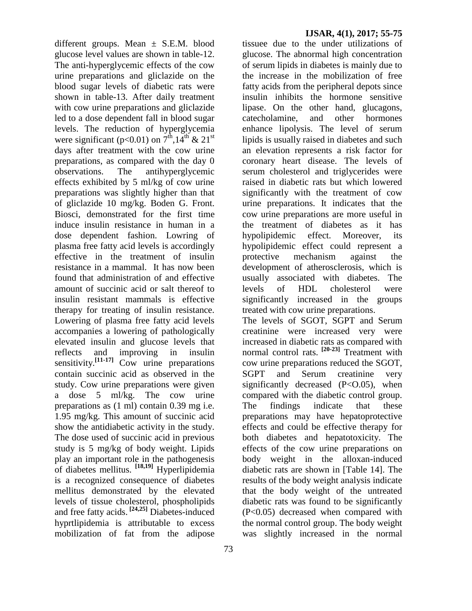different groups. Mean  $\pm$  S.E.M. blood glucose level values are shown in table-12. The anti-hyperglycemic effects of the cow urine preparations and gliclazide on the blood sugar levels of diabetic rats were shown in table-13. After daily treatment with cow urine preparations and gliclazide led to a dose dependent fall in blood sugar levels. The reduction of hyperglycemia were significant (p<0.01) on  $7^{\text{th}}$ ,14<sup>th</sup> & 21<sup>st</sup> days after treatment with the cow urine preparations, as compared with the day 0 observations. The antihyperglycemic effects exhibited by 5 ml/kg of cow urine preparations was slightly higher than that of gliclazide 10 mg/kg. Boden G. Front. Biosci, demonstrated for the first time induce insulin resistance in human in a dose dependent fashion. Lowring of plasma free fatty acid levels is accordingly effective in the treatment of insulin resistance in a mammal. It has now been found that administration of and effective amount of succinic acid or salt thereof to insulin resistant mammals is effective therapy for treating of insulin resistance. Lowering of plasma free fatty acid levels accompanies a lowering of pathologically elevated insulin and glucose levels that reflects and improving in insulin sensitivity.**[11-17]** Cow urine preparations contain succinic acid as observed in the study. Cow urine preparations were given a dose 5 ml/kg. The cow urine preparations as (1 ml) contain 0.39 mg i.e. 1.95 mg/kg. This amount of succinic acid show the antidiabetic activity in the study. The dose used of succinic acid in previous study is 5 mg/kg of body weight. Lipids play an important role in the pathogenesis of diabetes mellitus. **[18,19]** Hyperlipidemia is a recognized consequence of diabetes mellitus demonstrated by the elevated levels of tissue cholesterol, phospholipids and free fatty acids. **[24,25]** Diabetes-induced hyprtlipidemia is attributable to excess mobilization of fat from the adipose

tissuee due to the under utilizations of glucose. The abnormal high concentration of serum lipids in diabetes is mainly due to the increase in the mobilization of free fatty acids from the peripheral depots since insulin inhibits the hormone sensitive lipase. On the other hand, glucagons, catecholamine, and other hormones enhance lipolysis. The level of serum lipids is usually raised in diabetes and such an elevation represents a risk factor for coronary heart disease. The levels of serum cholesterol and triglycerides were raised in diabetic rats but which lowered significantly with the treatment of cow urine preparations. It indicates that the cow urine preparations are more useful in the treatment of diabetes as it has hypolipidemic effect. Moreover, its hypolipidemic effect could represent a protective mechanism against the development of atherosclerosis, which is usually associated with diabetes. The levels of HDL cholesterol were significantly increased in the groups treated with cow urine preparations. The levels of SGOT, SGPT and Serum creatinine were increased very were increased in diabetic rats as compared with normal control rats. **[20-23]** Treatment with cow urine preparations reduced the SGOT, SGPT and Serum creatinine very significantly decreased  $(P<0.05)$ , when compared with the diabetic control group. The findings indicate that these preparations may have hepatoprotective effects and could be effective therapy for both diabetes and hepatotoxicity. The effects of the cow urine preparations on body weight in the alloxan-induced diabetic rats are shown in [Table 14]. The results of the body weight analysis indicate that the body weight of the untreated diabetic rats was found to be significantly (P<0.05) decreased when compared with the normal control group. The body weight

was slightly increased in the normal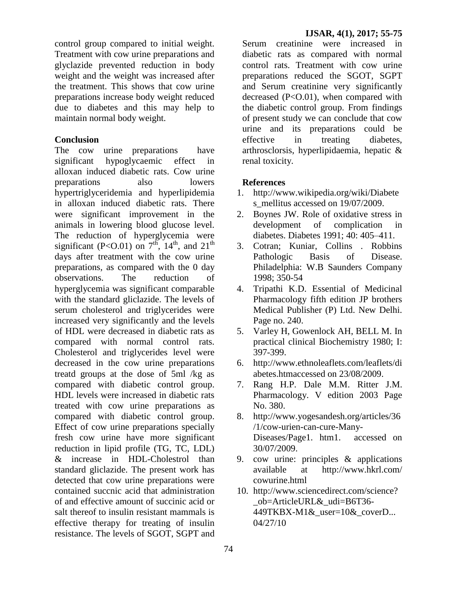control group compared to initial weight. Treatment with cow urine preparations and glyclazide prevented reduction in body weight and the weight was increased after the treatment. This shows that cow urine preparations increase body weight reduced due to diabetes and this may help to maintain normal body weight.

### **Conclusion**

The cow urine preparations have significant hypoglycaemic effect in alloxan induced diabetic rats. Cow urine preparations also lowers hypertriglyceridemia and hyperlipidemia in alloxan induced diabetic rats. There were significant improvement in the animals in lowering blood glucose level. The reduction of hyperglycemia were significant (P<O.01) on  $7<sup>th</sup>$ ,  $14<sup>th</sup>$ , and  $21<sup>th</sup>$ days after treatment with the cow urine preparations*,* as compared with the 0 day observations. The reduction of hyperglycemia was significant comparable with the standard gliclazide. The levels of serum cholesterol and triglycerides were increased very significantly and the levels of HDL were decreased in diabetic rats as compared with normal control rats. Cholesterol and triglycerides level were decreased in the cow urine preparations treatd groups at the dose of 5ml /kg as compared with diabetic control group. HDL levels were increased in diabetic rats treated with cow urine preparations as compared with diabetic control group. Effect of cow urine preparations specially fresh cow urine have more significant reduction in lipid profile (TG, TC, LDL) & increase in HDL-Cholestrol than standard gliclazide. The present work has detected that cow urine preparations were contained succnic acid that administration of and effective amount of succinic acid or salt thereof to insulin resistant mammals is effective therapy for treating of insulin resistance. The levels of SGOT, SGPT and

Serum creatinine were increased in diabetic rats as compared with normal control rats. Treatment with cow urine preparations reduced the SGOT, SGPT and Serum creatinine very significantly decreased  $(P<0.01)$ , when compared with the diabetic control group. From findings of present study we can conclude that cow urine and its preparations could be effective in treating diabetes, arthrosclorsis, hyperlipidaemia, hepatic & renal toxicity.

### **References**

- 1. [http://www.wikipedia.org/wiki/Diabete](http://www.wikipedia.org/wiki/Diabetes_mellitus%20accessed%20on%2019/07/2009) s mellitus accessed on 19/07/2009.
- 2. Boynes JW. Role of oxidative stress in development of complication in diabetes. Diabetes 1991; 40: 405–411.
- 3. Cotran; Kuniar, Collins . Robbins Pathologic Basis of Disease. Philadelphia: W.B Saunders Company 1998; 350-54
- 4. Tripathi K.D. Essential of Medicinal Pharmacology fifth edition JP brothers Medical Publisher (P) Ltd. New Delhi. Page no. 240.
- 5. Varley H, Gowenlock AH, BELL M. In practical clinical Biochemistry 1980; I: 397-399.
- 6. [http://www.ethnoleaflets.com/leaflets/di](http://www.ethnoleaflets.com/leaflets/diabetes.htmaccessed%20on%2023/08/2009) [abetes.htmaccessed on 23/08/2009.](http://www.ethnoleaflets.com/leaflets/diabetes.htmaccessed%20on%2023/08/2009)
- 7. Rang H.P. Dale M.M. Ritter J.M. Pharmacology. V edition 2003 Page No. 380.
- 8. [http://www.yogesandesh.org/articles/36](http://www.yogesandesh.org/articles/36/1/cow-urien-can-cure-Many-Diseases/) [/1/cow-urien-can-cure-Many-](http://www.yogesandesh.org/articles/36/1/cow-urien-can-cure-Many-Diseases/)[Diseases/P](http://www.yogesandesh.org/articles/36/1/cow-urien-can-cure-Many-Diseases/)age1. htm1. accessed on 30/07/2009.
- 9. cow urine: principles & applications available at [http://www.hkrl.com/](http://www.hkrl.com/%20cowurine.html)  [cowurine.html](http://www.hkrl.com/%20cowurine.html)
- 10. http://www.sciencedirect.com/science? \_ob=ArticleURL&\_udi=B6T36- 449TKBX-M1&\_user=10&\_coverD... 04/27/10